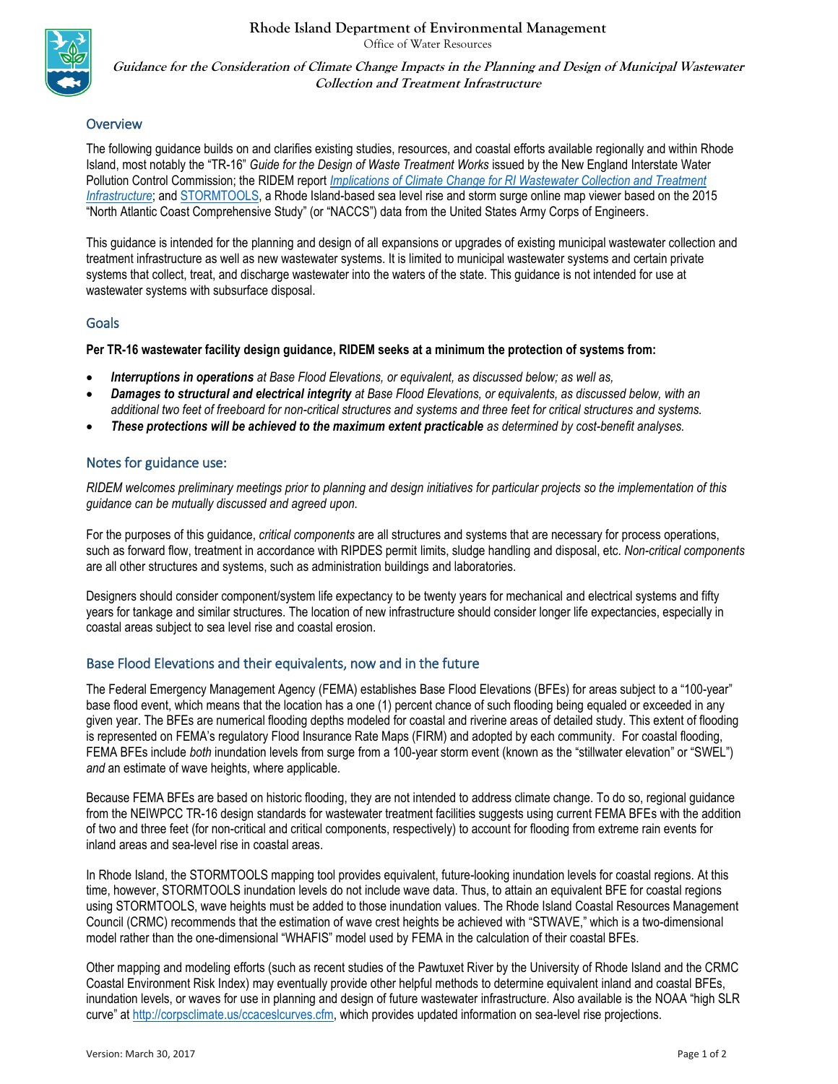**Rhode Island Department of Environmental Management**



Office of Water Resources

**Guidance for the Consideration of Climate Change Impacts in the Planning and Design of Municipal Wastewater Collection and Treatment Infrastructure**

## **Overview**

The following guidance builds on and clarifies existing studies, resources, and coastal efforts available regionally and within Rhode Island, most notably the "TR-16" *Guide for the Design of Waste Treatment Works* issued by the New England Interstate Water Pollution Control Commission; the RIDEM report *Implications of [Climate Change for RI Wastewater Collection and Treatment](http://test.dem.ri.gov/programs/water/documents/wwtfclimstudy.pdf)  [Infrastructure](http://test.dem.ri.gov/programs/water/documents/wwtfclimstudy.pdf)*; and [STORMTOOLS,](http://www.beachsamp.org/stormtools/stormtools-interactive-maps/) a Rhode Island-based sea level rise and storm surge online map viewer based on the 2015 "North Atlantic Coast Comprehensive Study" (or "NACCS") data from the United States Army Corps of Engineers.

This guidance is intended for the planning and design of all expansions or upgrades of existing municipal wastewater collection and treatment infrastructure as well as new wastewater systems. It is limited to municipal wastewater systems and certain private systems that collect, treat, and discharge wastewater into the waters of the state. This guidance is not intended for use at wastewater systems with subsurface disposal.

#### Goals

**Per TR-16 wastewater facility design guidance, RIDEM seeks at a minimum the protection of systems from:**

- *Interruptions in operations at Base Flood Elevations, or equivalent, as discussed below; as well as,*
- *Damages to structural and electrical integrity at Base Flood Elevations, or equivalents, as discussed below, with an additional two feet of freeboard for non-critical structures and systems and three feet for critical structures and systems.*
- *These protections will be achieved to the maximum extent practicable as determined by cost-benefit analyses.*

## Notes for guidance use:

*RIDEM welcomes preliminary meetings prior to planning and design initiatives for particular projects so the implementation of this guidance can be mutually discussed and agreed upon.*

For the purposes of this guidance, *critical components* are all structures and systems that are necessary for process operations, such as forward flow, treatment in accordance with RIPDES permit limits, sludge handling and disposal, etc. *Non-critical components* are all other structures and systems, such as administration buildings and laboratories.

Designers should consider component/system life expectancy to be twenty years for mechanical and electrical systems and fifty years for tankage and similar structures. The location of new infrastructure should consider longer life expectancies, especially in coastal areas subject to sea level rise and coastal erosion.

#### Base Flood Elevations and their equivalents, now and in the future

The Federal Emergency Management Agency (FEMA) establishes Base Flood Elevations (BFEs) for areas subject to a "100-year" base flood event, which means that the location has a one (1) percent chance of such flooding being equaled or exceeded in any given year. The BFEs are numerical flooding depths modeled for coastal and riverine areas of detailed study. This extent of flooding is represented on FEMA's regulatory Flood Insurance Rate Maps (FIRM) and adopted by each community. For coastal flooding, FEMA BFEs include *both* inundation levels from surge from a 100-year storm event (known as the "stillwater elevation" or "SWEL") *and* an estimate of wave heights, where applicable.

Because FEMA BFEs are based on historic flooding, they are not intended to address climate change. To do so, regional guidance from the NEIWPCC TR-16 design standards for wastewater treatment facilities suggests using current FEMA BFEs with the addition of two and three feet (for non-critical and critical components, respectively) to account for flooding from extreme rain events for inland areas and sea-level rise in coastal areas.

In Rhode Island, the STORMTOOLS mapping tool provides equivalent, future-looking inundation levels for coastal regions. At this time, however, STORMTOOLS inundation levels do not include wave data. Thus, to attain an equivalent BFE for coastal regions using STORMTOOLS, wave heights must be added to those inundation values. The Rhode Island Coastal Resources Management Council (CRMC) recommends that the estimation of wave crest heights be achieved with "STWAVE," which is a two-dimensional model rather than the one-dimensional "WHAFIS" model used by FEMA in the calculation of their coastal BFEs.

Other mapping and modeling efforts (such as recent studies of the Pawtuxet River by the University of Rhode Island and the CRMC Coastal Environment Risk Index) may eventually provide other helpful methods to determine equivalent inland and coastal BFEs, inundation levels, or waves for use in planning and design of future wastewater infrastructure. Also available is the NOAA "high SLR curve" at [http://corpsclimate.us/ccaceslcurves.cfm,](http://corpsclimate.us/ccaceslcurves.cfm) which provides updated information on sea-level rise projections.